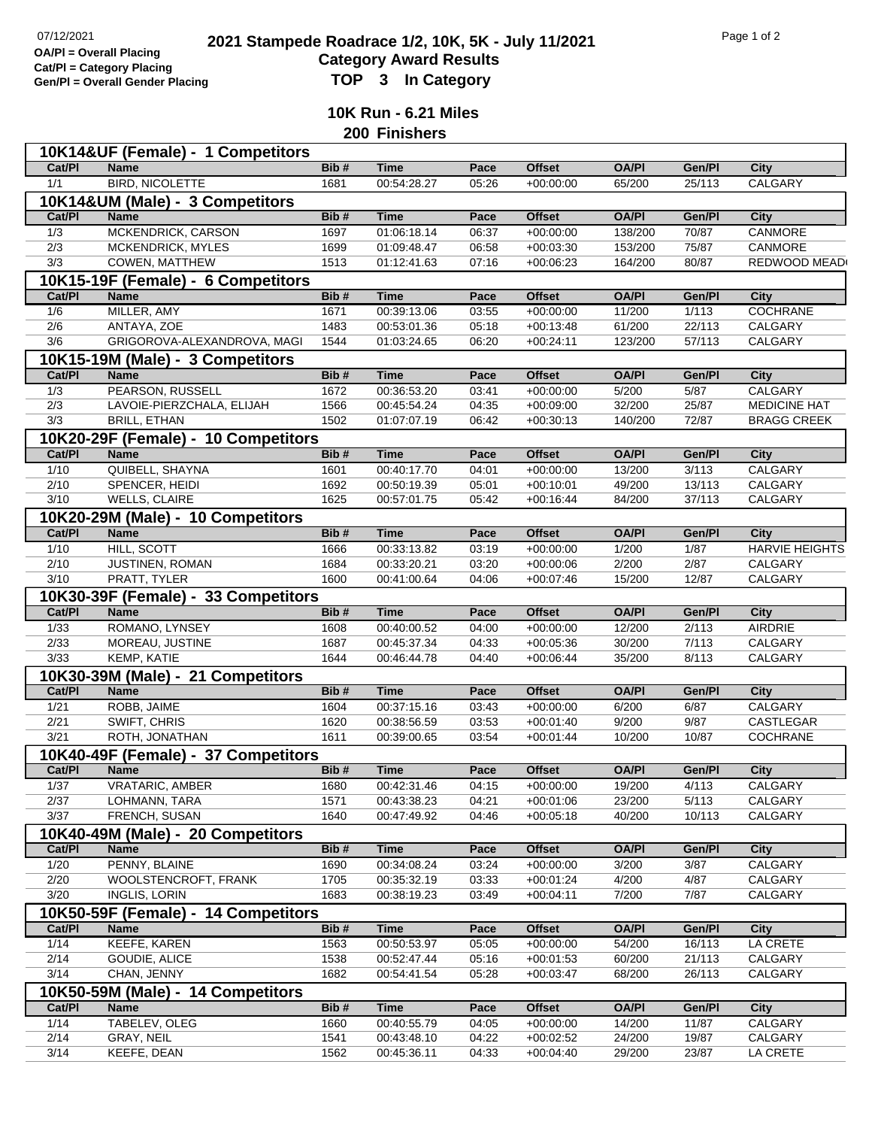## **2021 2021 Stampede Roadrace 1/2, 10K, 5K - July 11/2021** Page 1 of 2<br> **Only 11/2021** Page 1 of 2 **Category Award Results Gen/Pl = Overall Gender Placing TOP 3 In Category**

**10K Run - 6.21 Miles 200 Finishers**

|                  | 10K14&UF (Female) - 1 Competitors                  |              |             |                |               |              |                 |                       |
|------------------|----------------------------------------------------|--------------|-------------|----------------|---------------|--------------|-----------------|-----------------------|
| Cat/PI           | <b>Name</b>                                        | Bib#         | <b>Time</b> | Pace           | <b>Offset</b> | <b>OA/PI</b> | Gen/Pl          | City                  |
| 1/1              | <b>BIRD, NICOLETTE</b>                             | 1681         | 00:54:28.27 | 05:26          | $+00:00:00$   | 65/200       | 25/113          | CALGARY               |
|                  | 10K14&UM (Male) - 3 Competitors                    |              |             |                |               |              |                 |                       |
| Cat/PI           | <b>Name</b>                                        | Bib#         | <b>Time</b> | Pace           | <b>Offset</b> | <b>OA/PI</b> | Gen/Pl          | <b>City</b>           |
| 1/3              | MCKENDRICK, CARSON                                 | 1697         | 01:06:18.14 | 06:37          | $+00:00:00$   | 138/200      | 70/87           | <b>CANMORE</b>        |
| $\overline{2/3}$ | <b>MCKENDRICK, MYLES</b>                           | 1699         | 01:09:48.47 | 06:58          | $+00:03:30$   | 153/200      | 75/87           | CANMORE               |
| 3/3              | COWEN, MATTHEW                                     | 1513         | 01:12:41.63 | 07:16          | $+00:06:23$   | 164/200      | 80/87           | REDWOOD MEAD          |
|                  | 10K15-19F (Female) - 6 Competitors                 |              |             |                |               |              |                 |                       |
| Cat/PI           | <b>Name</b>                                        | Bib#         | <b>Time</b> | Pace           | <b>Offset</b> | <b>OA/PI</b> | Gen/Pl          | <b>City</b>           |
|                  |                                                    |              |             |                |               |              |                 | COCHRANE              |
| 1/6              | MILLER, AMY                                        | 1671<br>1483 | 00:39:13.06 | 03:55<br>05:18 | $+00:00:00$   | 11/200       | 1/113<br>22/113 |                       |
| 2/6<br>3/6       | ANTAYA, ZOE                                        |              | 00:53:01.36 |                | $+00:13:48$   | 61/200       |                 | CALGARY               |
|                  | GRIGOROVA-ALEXANDROVA, MAGI                        | 1544         | 01:03:24.65 | 06:20          | $+00:24:11$   | 123/200      | 57/113          | CALGARY               |
|                  | 10K15-19M (Male) - 3 Competitors                   |              |             |                |               |              |                 |                       |
| Cat/PI           | <b>Name</b>                                        | Bib#         | <b>Time</b> | Pace           | <b>Offset</b> | <b>OA/PI</b> | Gen/Pl          | <b>City</b>           |
| 1/3              | PEARSON, RUSSELL                                   | 1672         | 00:36:53.20 | 03:41          | $+00:00:00$   | 5/200        | 5/87            | <b>CALGARY</b>        |
| 2/3              | LAVOIE-PIERZCHALA, ELIJAH                          | 1566         | 00:45:54.24 | 04:35          | $+00:09:00$   | 32/200       | 25/87           | <b>MEDICINE HAT</b>   |
| 3/3              | <b>BRILL, ETHAN</b>                                | 1502         | 01:07:07.19 | 06:42          | $+00:30:13$   | 140/200      | 72/87           | <b>BRAGG CREEK</b>    |
|                  | 10K20-29F (Female) - 10 Competitors                |              |             |                |               |              |                 |                       |
| Cat/PI           | <b>Name</b>                                        | Bib#         | <b>Time</b> | Pace           | <b>Offset</b> | <b>OA/PI</b> | Gen/Pl          | <b>City</b>           |
| 1/10             | QUIBELL, SHAYNA                                    | 1601         | 00:40:17.70 | 04:01          | $+00:00:00$   | 13/200       | 3/113           | CALGARY               |
| 2/10             | SPENCER, HEIDI                                     | 1692         | 00:50:19.39 | 05:01          | $+00:10:01$   | 49/200       | 13/113          | CALGARY               |
| 3/10             | WELLS, CLAIRE                                      | 1625         | 00:57:01.75 | 05:42          | $+00:16:44$   | 84/200       | 37/113          | CALGARY               |
|                  | 10K20-29M (Male) - 10 Competitors                  |              |             |                |               |              |                 |                       |
| Cat/PI           | <b>Name</b>                                        | Bib#         | <b>Time</b> | Pace           | <b>Offset</b> | <b>OA/PI</b> | Gen/Pl          | <b>City</b>           |
| 1/10             | HILL, SCOTT                                        | 1666         | 00:33:13.82 | 03:19          | $+00:00:00$   | 1/200        | 1/87            | <b>HARVIE HEIGHTS</b> |
| 2/10             | JUSTINEN, ROMAN                                    | 1684         | 00:33:20.21 | 03:20          | $+00:00:06$   | 2/200        | 2/87            | CALGARY               |
|                  |                                                    |              |             |                |               |              |                 |                       |
|                  |                                                    |              |             |                |               |              |                 |                       |
| 3/10             | PRATT, TYLER                                       | 1600         | 00:41:00.64 | 04:06          | $+00:07:46$   | 15/200       | 12/87           | CALGARY               |
|                  | 10K30-39F (Female) - 33 Competitors                |              |             |                |               |              |                 |                       |
| Cat/PI           | <b>Name</b>                                        | Bib#         | Time        | Pace           | <b>Offset</b> | <b>OA/PI</b> | Gen/Pl          | <b>City</b>           |
| 1/33             | ROMANO, LYNSEY                                     | 1608         | 00:40:00.52 | 04:00          | $+00:00:00$   | 12/200       | 2/113           | AIRDRIE               |
| 2/33             | MOREAU, JUSTINE                                    | 1687         | 00:45:37.34 | 04:33          | $+00:05:36$   | 30/200       | 7/113           | CALGARY               |
| 3/33             | KEMP, KATIE                                        | 1644         | 00:46:44.78 | 04:40          | $+00.06:44$   | 35/200       | 8/113           | CALGARY               |
|                  | 10K30-39M (Male) - 21 Competitors                  |              |             |                |               |              |                 |                       |
| Cat/PI           | <b>Name</b>                                        | Bib#         | <b>Time</b> | Pace           | <b>Offset</b> | <b>OA/PI</b> | Gen/Pl          | <b>City</b>           |
| 1/21             | ROBB, JAIME                                        | 1604         | 00:37:15.16 | 03:43          | $+00:00:00$   | 6/200        | 6/87            | CALGARY               |
| 2/21             | SWIFT, CHRIS                                       | 1620         | 00:38:56.59 | 03:53          | $+00:01:40$   | 9/200        | 9/87            | CASTLEGAR             |
| 3/21             | ROTH, JONATHAN                                     | 1611         | 00:39:00.65 | 03:54          | $+00:01:44$   | 10/200       | 10/87           | <b>COCHRANE</b>       |
|                  |                                                    |              |             |                |               |              |                 |                       |
| Cat/PI           | 10K40-49F (Female) - 37 Competitors<br><b>Name</b> | Bib#         | <b>Time</b> | Pace           | <b>Offset</b> | <b>OA/PI</b> | Gen/Pl          |                       |
|                  |                                                    |              | 00:42:31.46 |                |               |              |                 | <b>City</b>           |
| 1/37             | <b>VRATARIC, AMBER</b><br>LOHMANN, TARA            | 1680<br>1571 |             | 04:15          | $+00:00:00$   | 19/200       | 4/113           | CALGARY               |
| 2/37             |                                                    |              | 00:43:38.23 | 04:21          | $+00:01:06$   | 23/200       | 5/113           | CALGARY               |
| 3/37             | FRENCH, SUSAN                                      | 1640         | 00:47:49.92 | 04:46          | $+00:05:18$   | 40/200       | 10/113          | CALGARY               |
|                  | 10K40-49M (Male) - 20 Competitors                  |              |             |                |               |              |                 |                       |
| Cat/PI           | <b>Name</b>                                        | Bib#         | <b>Time</b> | Pace           | <b>Offset</b> | <b>OA/PI</b> | Gen/Pl          | <b>City</b>           |
| 1/20             | PENNY, BLAINE                                      | 1690         | 00:34:08.24 | 03:24          | $+00:00:00$   | 3/200        | 3/87            | CALGARY               |
| 2/20             | WOOLSTENCROFT, FRANK                               | 1705         | 00:35:32.19 | 03:33          | $+00:01:24$   | 4/200        | 4/87            | CALGARY               |
| 3/20             | <b>INGLIS, LORIN</b>                               | 1683         | 00:38:19.23 | 03:49          | $+00:04:11$   | 7/200        | 7/87            | CALGARY               |
|                  | 10K50-59F (Female) - 14 Competitors                |              |             |                |               |              |                 |                       |
| Cat/PI           | <b>Name</b>                                        | Bib#         | <b>Time</b> | Pace           | <b>Offset</b> | <b>OA/PI</b> | Gen/Pl          | <b>City</b>           |
| 1/14             | <b>KEEFE, KAREN</b>                                | 1563         | 00:50:53.97 | 05:05          | $+00:00:00$   | 54/200       | 16/113          | LA CRETE              |
| 2/14             | GOUDIE, ALICE                                      | 1538         | 00:52:47.44 | 05:16          | $+00:01:53$   | 60/200       | 21/113          | CALGARY               |
| 3/14             | CHAN, JENNY                                        | 1682         | 00:54:41.54 | 05:28          | $+00:03:47$   | 68/200       | 26/113          | CALGARY               |
|                  | 10K50-59M (Male) - 14 Competitors                  |              |             |                |               |              |                 |                       |
| Cat/PI           | <b>Name</b>                                        | Bib#         | <b>Time</b> | Pace           | <b>Offset</b> | <b>OA/PI</b> | Gen/Pl          | <b>City</b>           |
| 1/14             | TABELEV, OLEG                                      | 1660         | 00:40:55.79 | 04:05          | $+00:00:00$   | 14/200       | 11/87           | CALGARY               |
| 2/14             | GRAY, NEIL                                         | 1541         | 00:43:48.10 | 04:22          | $+00:02:52$   | 24/200       | 19/87           | CALGARY               |